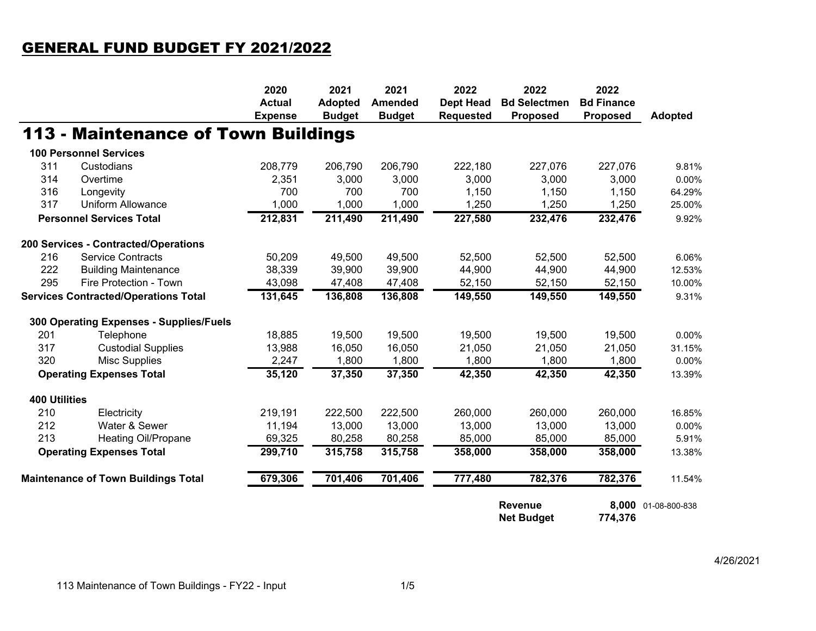## GENERAL FUND BUDGET FY 2021/2022

|                                            |                                             | 2020                            | 2021                            | 2021                            | 2022                                 | 2022                                | 2022                          |                     |
|--------------------------------------------|---------------------------------------------|---------------------------------|---------------------------------|---------------------------------|--------------------------------------|-------------------------------------|-------------------------------|---------------------|
|                                            |                                             | <b>Actual</b><br><b>Expense</b> | <b>Adopted</b><br><b>Budget</b> | <b>Amended</b><br><b>Budget</b> | <b>Dept Head</b><br><b>Requested</b> | <b>Bd Selectmen</b><br>Proposed     | <b>Bd Finance</b><br>Proposed | <b>Adopted</b>      |
|                                            | <b>113 - Maintenance of Town Buildings</b>  |                                 |                                 |                                 |                                      |                                     |                               |                     |
|                                            | <b>100 Personnel Services</b>               |                                 |                                 |                                 |                                      |                                     |                               |                     |
| 311                                        | Custodians                                  | 208,779                         | 206,790                         | 206,790                         | 222,180                              | 227,076                             | 227,076                       | 9.81%               |
| 314                                        | Overtime                                    | 2,351                           | 3,000                           | 3,000                           | 3,000                                | 3,000                               | 3,000                         | 0.00%               |
| 316                                        | Longevity                                   | 700                             | 700                             | 700                             | 1,150                                | 1,150                               | 1,150                         | 64.29%              |
| 317                                        | <b>Uniform Allowance</b>                    | 1,000                           | 1,000                           | 1,000                           | 1,250                                | 1,250                               | 1,250                         | 25.00%              |
|                                            | <b>Personnel Services Total</b>             | 212,831                         | 211,490                         | 211,490                         | 227,580                              | 232,476                             | 232,476                       | 9.92%               |
|                                            | 200 Services - Contracted/Operations        |                                 |                                 |                                 |                                      |                                     |                               |                     |
| 216                                        | <b>Service Contracts</b>                    | 50,209                          | 49,500                          | 49,500                          | 52,500                               | 52,500                              | 52,500                        | 6.06%               |
| 222                                        | <b>Building Maintenance</b>                 | 38,339                          | 39,900                          | 39,900                          | 44,900                               | 44,900                              | 44,900                        | 12.53%              |
| 295                                        | Fire Protection - Town                      | 43,098                          | 47,408                          | 47,408                          | 52,150                               | 52,150                              | 52,150                        | 10.00%              |
|                                            | <b>Services Contracted/Operations Total</b> | 131,645                         | 136,808                         | 136,808                         | 149,550                              | 149,550                             | 149,550                       | 9.31%               |
|                                            | 300 Operating Expenses - Supplies/Fuels     |                                 |                                 |                                 |                                      |                                     |                               |                     |
| 201                                        | Telephone                                   | 18,885                          | 19,500                          | 19,500                          | 19,500                               | 19,500                              | 19,500                        | 0.00%               |
| 317                                        | <b>Custodial Supplies</b>                   | 13,988                          | 16,050                          | 16,050                          | 21,050                               | 21,050                              | 21,050                        | 31.15%              |
| 320                                        | <b>Misc Supplies</b>                        | 2,247                           | 1,800                           | 1,800                           | 1,800                                | 1,800                               | 1,800                         | 0.00%               |
|                                            | <b>Operating Expenses Total</b>             | 35,120                          | 37,350                          | 37,350                          | 42,350                               | 42,350                              | 42,350                        | 13.39%              |
| <b>400 Utilities</b>                       |                                             |                                 |                                 |                                 |                                      |                                     |                               |                     |
| 210                                        | Electricity                                 | 219,191                         | 222,500                         | 222,500                         | 260,000                              | 260,000                             | 260,000                       | 16.85%              |
| 212                                        | Water & Sewer                               | 11,194                          | 13,000                          | 13,000                          | 13,000                               | 13,000                              | 13,000                        | 0.00%               |
| 213                                        | <b>Heating Oil/Propane</b>                  | 69,325                          | 80,258                          | 80,258                          | 85,000                               | 85,000                              | 85,000                        | 5.91%               |
|                                            | <b>Operating Expenses Total</b>             | 299,710                         | 315,758                         | 315,758                         | 358,000                              | 358,000                             | 358,000                       | 13.38%              |
| <b>Maintenance of Town Buildings Total</b> |                                             | 679,306                         | 701,406                         | 701,406                         | 777,480                              | 782,376                             | 782,376                       | 11.54%              |
|                                            |                                             |                                 |                                 |                                 |                                      | <b>Revenue</b><br><b>Net Budget</b> | 774,376                       | 8,000 01-08-800-838 |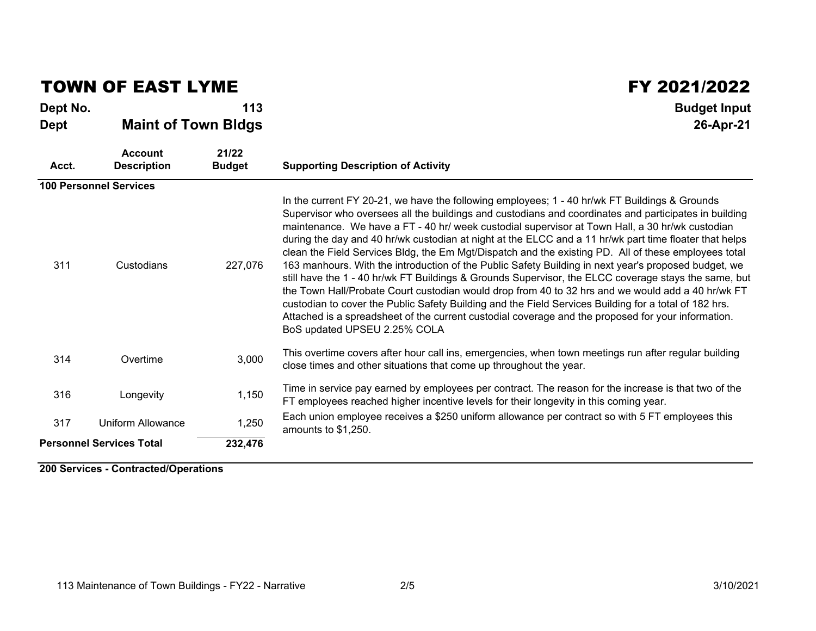### TOWN OF EAST LYME FY 2021/2022

#### **Dept No. Budget Input Dept Maint of Town Bldgs 26-Apr-21**

| Acct.                           | <b>Account</b><br><b>Description</b> | 21/22<br><b>Budget</b> | <b>Supporting Description of Activity</b>                                                                                                                                                                                                                                                                                                                                                                                                                                                                                                                                                                                                                                                                                                                                                                                                                                                                                                                                                                                                                                                       |
|---------------------------------|--------------------------------------|------------------------|-------------------------------------------------------------------------------------------------------------------------------------------------------------------------------------------------------------------------------------------------------------------------------------------------------------------------------------------------------------------------------------------------------------------------------------------------------------------------------------------------------------------------------------------------------------------------------------------------------------------------------------------------------------------------------------------------------------------------------------------------------------------------------------------------------------------------------------------------------------------------------------------------------------------------------------------------------------------------------------------------------------------------------------------------------------------------------------------------|
|                                 | <b>100 Personnel Services</b>        |                        |                                                                                                                                                                                                                                                                                                                                                                                                                                                                                                                                                                                                                                                                                                                                                                                                                                                                                                                                                                                                                                                                                                 |
| 311                             | Custodians                           | 227,076                | In the current FY 20-21, we have the following employees; 1 - 40 hr/wk FT Buildings & Grounds<br>Supervisor who oversees all the buildings and custodians and coordinates and participates in building<br>maintenance. We have a FT - 40 hr/ week custodial supervisor at Town Hall, a 30 hr/wk custodian<br>during the day and 40 hr/wk custodian at night at the ELCC and a 11 hr/wk part time floater that helps<br>clean the Field Services Bldg, the Em Mgt/Dispatch and the existing PD. All of these employees total<br>163 manhours. With the introduction of the Public Safety Building in next year's proposed budget, we<br>still have the 1 - 40 hr/wk FT Buildings & Grounds Supervisor, the ELCC coverage stays the same, but<br>the Town Hall/Probate Court custodian would drop from 40 to 32 hrs and we would add a 40 hr/wk FT<br>custodian to cover the Public Safety Building and the Field Services Building for a total of 182 hrs.<br>Attached is a spreadsheet of the current custodial coverage and the proposed for your information.<br>BoS updated UPSEU 2.25% COLA |
| 314                             | Overtime                             | 3,000                  | This overtime covers after hour call ins, emergencies, when town meetings run after regular building<br>close times and other situations that come up throughout the year.                                                                                                                                                                                                                                                                                                                                                                                                                                                                                                                                                                                                                                                                                                                                                                                                                                                                                                                      |
| 316                             | Longevity                            | 1,150                  | Time in service pay earned by employees per contract. The reason for the increase is that two of the<br>FT employees reached higher incentive levels for their longevity in this coming year.                                                                                                                                                                                                                                                                                                                                                                                                                                                                                                                                                                                                                                                                                                                                                                                                                                                                                                   |
| 317                             | Uniform Allowance<br>1,250           |                        | Each union employee receives a \$250 uniform allowance per contract so with 5 FT employees this<br>amounts to \$1,250.                                                                                                                                                                                                                                                                                                                                                                                                                                                                                                                                                                                                                                                                                                                                                                                                                                                                                                                                                                          |
| <b>Personnel Services Total</b> |                                      | 232,476                |                                                                                                                                                                                                                                                                                                                                                                                                                                                                                                                                                                                                                                                                                                                                                                                                                                                                                                                                                                                                                                                                                                 |

**200 Services - Contracted/Operations**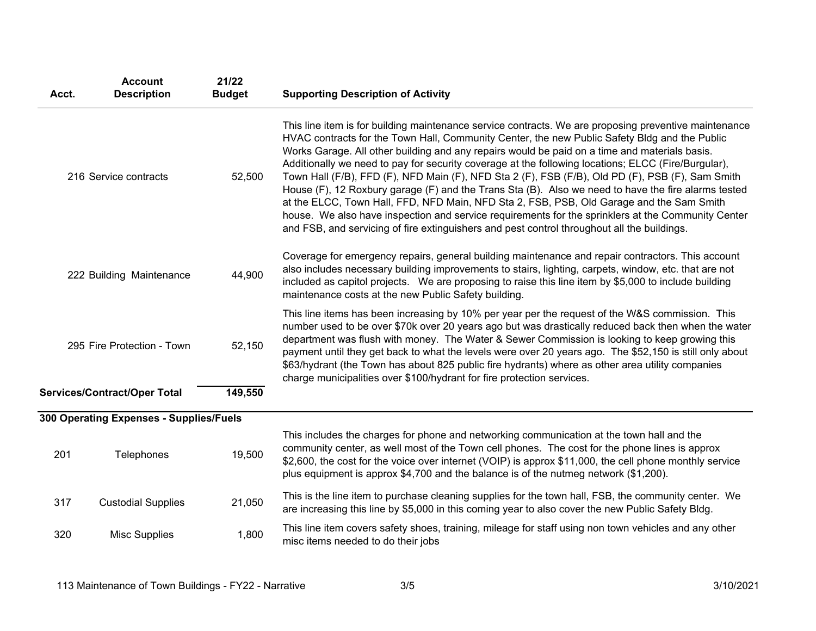| Acct.                                | <b>Account</b><br><b>Description</b>    | 21/22<br><b>Budget</b> | <b>Supporting Description of Activity</b>                                                                                                                                                                                                                                                                                                                                                                                                                                                                                                                                                                                                                                                                                                                                                                                                                                                                                  |  |  |  |  |
|--------------------------------------|-----------------------------------------|------------------------|----------------------------------------------------------------------------------------------------------------------------------------------------------------------------------------------------------------------------------------------------------------------------------------------------------------------------------------------------------------------------------------------------------------------------------------------------------------------------------------------------------------------------------------------------------------------------------------------------------------------------------------------------------------------------------------------------------------------------------------------------------------------------------------------------------------------------------------------------------------------------------------------------------------------------|--|--|--|--|
| 216 Service contracts                |                                         | 52,500                 | This line item is for building maintenance service contracts. We are proposing preventive maintenance<br>HVAC contracts for the Town Hall, Community Center, the new Public Safety Bldg and the Public<br>Works Garage. All other building and any repairs would be paid on a time and materials basis.<br>Additionally we need to pay for security coverage at the following locations; ELCC (Fire/Burgular),<br>Town Hall (F/B), FFD (F), NFD Main (F), NFD Sta 2 (F), FSB (F/B), Old PD (F), PSB (F), Sam Smith<br>House (F), 12 Roxbury garage (F) and the Trans Sta (B). Also we need to have the fire alarms tested<br>at the ELCC, Town Hall, FFD, NFD Main, NFD Sta 2, FSB, PSB, Old Garage and the Sam Smith<br>house. We also have inspection and service requirements for the sprinklers at the Community Center<br>and FSB, and servicing of fire extinguishers and pest control throughout all the buildings. |  |  |  |  |
| 222 Building Maintenance             |                                         | 44,900                 | Coverage for emergency repairs, general building maintenance and repair contractors. This account<br>also includes necessary building improvements to stairs, lighting, carpets, window, etc. that are not<br>included as capitol projects. We are proposing to raise this line item by \$5,000 to include building<br>maintenance costs at the new Public Safety building.                                                                                                                                                                                                                                                                                                                                                                                                                                                                                                                                                |  |  |  |  |
| 52,150<br>295 Fire Protection - Town |                                         |                        | This line items has been increasing by 10% per year per the request of the W&S commission. This<br>number used to be over \$70k over 20 years ago but was drastically reduced back then when the water<br>department was flush with money. The Water & Sewer Commission is looking to keep growing this<br>payment until they get back to what the levels were over 20 years ago. The \$52,150 is still only about<br>\$63/hydrant (the Town has about 825 public fire hydrants) where as other area utility companies<br>charge municipalities over \$100/hydrant for fire protection services.                                                                                                                                                                                                                                                                                                                           |  |  |  |  |
|                                      | <b>Services/Contract/Oper Total</b>     | 149,550                |                                                                                                                                                                                                                                                                                                                                                                                                                                                                                                                                                                                                                                                                                                                                                                                                                                                                                                                            |  |  |  |  |
|                                      | 300 Operating Expenses - Supplies/Fuels |                        |                                                                                                                                                                                                                                                                                                                                                                                                                                                                                                                                                                                                                                                                                                                                                                                                                                                                                                                            |  |  |  |  |
| 201                                  | Telephones                              | 19,500                 | This includes the charges for phone and networking communication at the town hall and the<br>community center, as well most of the Town cell phones. The cost for the phone lines is approx<br>\$2,600, the cost for the voice over internet (VOIP) is approx \$11,000, the cell phone monthly service<br>plus equipment is approx \$4,700 and the balance is of the nutmeg network (\$1,200).                                                                                                                                                                                                                                                                                                                                                                                                                                                                                                                             |  |  |  |  |
| 317                                  | <b>Custodial Supplies</b>               | 21,050                 | This is the line item to purchase cleaning supplies for the town hall, FSB, the community center. We<br>are increasing this line by \$5,000 in this coming year to also cover the new Public Safety Bldg.                                                                                                                                                                                                                                                                                                                                                                                                                                                                                                                                                                                                                                                                                                                  |  |  |  |  |
| 1,800<br>320<br><b>Misc Supplies</b> |                                         |                        | This line item covers safety shoes, training, mileage for staff using non town vehicles and any other<br>misc items needed to do their jobs                                                                                                                                                                                                                                                                                                                                                                                                                                                                                                                                                                                                                                                                                                                                                                                |  |  |  |  |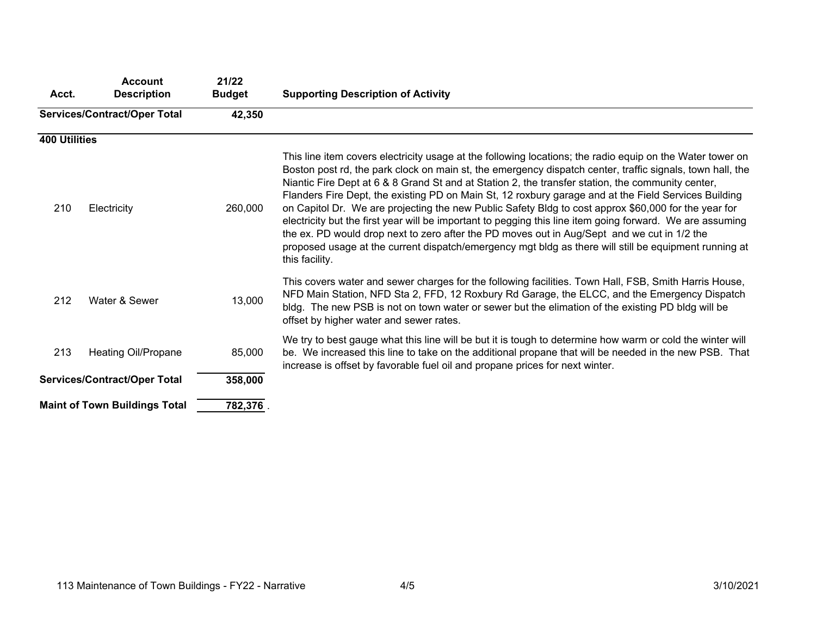| Acct.                | 21/22<br><b>Account</b><br><b>Budget</b><br><b>Description</b> |         | <b>Supporting Description of Activity</b>                                                                                                                                                                                                                                                                                                                                                                                                                                                                                                                                                                                                                                                                                                                                                                                                                                          |  |  |  |  |  |  |
|----------------------|----------------------------------------------------------------|---------|------------------------------------------------------------------------------------------------------------------------------------------------------------------------------------------------------------------------------------------------------------------------------------------------------------------------------------------------------------------------------------------------------------------------------------------------------------------------------------------------------------------------------------------------------------------------------------------------------------------------------------------------------------------------------------------------------------------------------------------------------------------------------------------------------------------------------------------------------------------------------------|--|--|--|--|--|--|
|                      | <b>Services/Contract/Oper Total</b>                            | 42,350  |                                                                                                                                                                                                                                                                                                                                                                                                                                                                                                                                                                                                                                                                                                                                                                                                                                                                                    |  |  |  |  |  |  |
| <b>400 Utilities</b> |                                                                |         |                                                                                                                                                                                                                                                                                                                                                                                                                                                                                                                                                                                                                                                                                                                                                                                                                                                                                    |  |  |  |  |  |  |
| 210                  | Electricity                                                    | 260,000 | This line item covers electricity usage at the following locations; the radio equip on the Water tower on<br>Boston post rd, the park clock on main st, the emergency dispatch center, traffic signals, town hall, the<br>Niantic Fire Dept at 6 & 8 Grand St and at Station 2, the transfer station, the community center,<br>Flanders Fire Dept, the existing PD on Main St, 12 roxbury garage and at the Field Services Building<br>on Capitol Dr. We are projecting the new Public Safety Bldg to cost approx \$60,000 for the year for<br>electricity but the first year will be important to pegging this line item going forward. We are assuming<br>the ex. PD would drop next to zero after the PD moves out in Aug/Sept and we cut in 1/2 the<br>proposed usage at the current dispatch/emergency mgt bldg as there will still be equipment running at<br>this facility. |  |  |  |  |  |  |
| 212                  | Water & Sewer                                                  | 13,000  | This covers water and sewer charges for the following facilities. Town Hall, FSB, Smith Harris House,<br>NFD Main Station, NFD Sta 2, FFD, 12 Roxbury Rd Garage, the ELCC, and the Emergency Dispatch<br>bldg. The new PSB is not on town water or sewer but the elimation of the existing PD bldg will be<br>offset by higher water and sewer rates.                                                                                                                                                                                                                                                                                                                                                                                                                                                                                                                              |  |  |  |  |  |  |
| 213                  | <b>Heating Oil/Propane</b>                                     | 85,000  | We try to best gauge what this line will be but it is tough to determine how warm or cold the winter will<br>be. We increased this line to take on the additional propane that will be needed in the new PSB. That<br>increase is offset by favorable fuel oil and propane prices for next winter.                                                                                                                                                                                                                                                                                                                                                                                                                                                                                                                                                                                 |  |  |  |  |  |  |
|                      | <b>Services/Contract/Oper Total</b>                            | 358,000 |                                                                                                                                                                                                                                                                                                                                                                                                                                                                                                                                                                                                                                                                                                                                                                                                                                                                                    |  |  |  |  |  |  |
|                      | <b>Maint of Town Buildings Total</b>                           | 782,376 |                                                                                                                                                                                                                                                                                                                                                                                                                                                                                                                                                                                                                                                                                                                                                                                                                                                                                    |  |  |  |  |  |  |